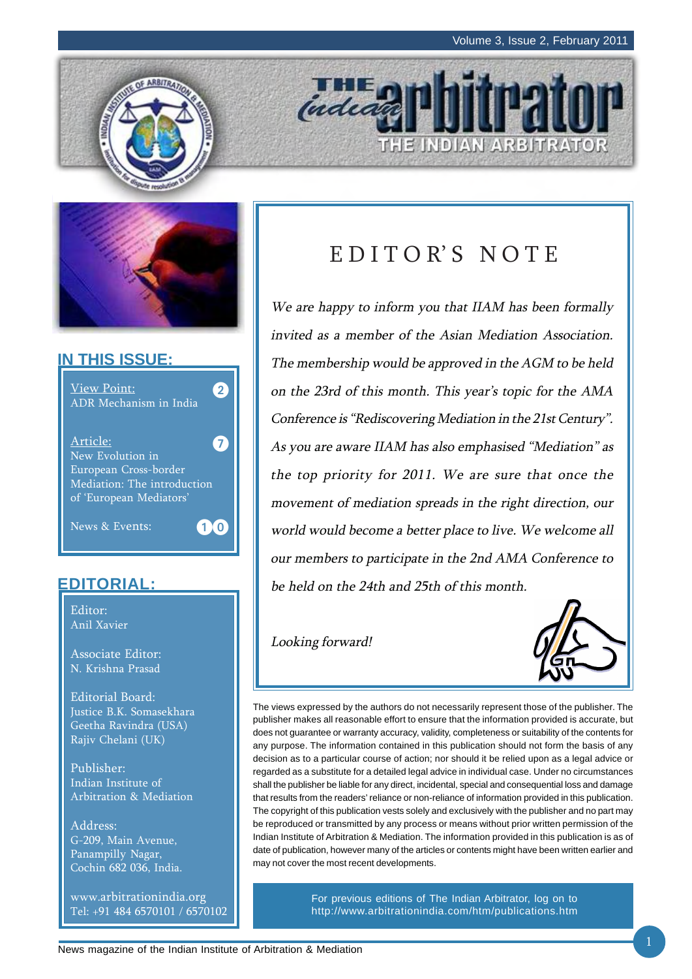E INDIAN ARBITRATOR





## **IN THIS ISSUE:**

| <b>View Point:</b><br>ADR Mechanism in India                                                                    |  |
|-----------------------------------------------------------------------------------------------------------------|--|
| Article:<br>New Evolution in<br>European Cross-border<br>Mediation: The introduction<br>of 'European Mediators' |  |
| News & Events:<br>$\mathbf{1}$                                                                                  |  |

## **EDITORIAL:**

Editor: Anil Xavier

Associate Editor: N. Krishna Prasad

Editorial Board: Justice B.K. Somasekhara Geetha Ravindra (USA) Rajiv Chelani (UK)

Publisher: Indian Institute of Arbitration & Mediation

Address: G-209, Main Avenue, Panampilly Nagar, Cochin 682 036, India.

www.arbitrationindia.org Tel: +91 484 6570101 / 6570102

# EDITOR'S NOTE

inded

We are happy to inform you that IIAM has been formally invited as a member of the Asian Mediation Association. The membership would be approved in the AGM to be held on the 23rd of this month. This year's topic for the AMA Conference is "Rediscovering Mediation in the 21st Century". As you are aware IIAM has also emphasised "Mediation" as the top priority for 2011. We are sure that once the movement of mediation spreads in the right direction, our world would become a better place to live. We welcome all our members to participate in the 2nd AMA Conference to be held on the 24th and 25th of this month.

Looking forward!



The views expressed by the authors do not necessarily represent those of the publisher. The publisher makes all reasonable effort to ensure that the information provided is accurate, but does not guarantee or warranty accuracy, validity, completeness or suitability of the contents for any purpose. The information contained in this publication should not form the basis of any decision as to a particular course of action; nor should it be relied upon as a legal advice or regarded as a substitute for a detailed legal advice in individual case. Under no circumstances shall the publisher be liable for any direct, incidental, special and consequential loss and damage that results from the readers' reliance or non-reliance of information provided in this publication. The copyright of this publication vests solely and exclusively with the publisher and no part may be reproduced or transmitted by any process or means without prior written permission of the Indian Institute of Arbitration & Mediation. The information provided in this publication is as of date of publication, however many of the articles or contents might have been written earlier and may not cover the most recent developments.

> For previous editions of The Indian Arbitrator, log on to http://www.arbitrationindia.com/htm/publications.htm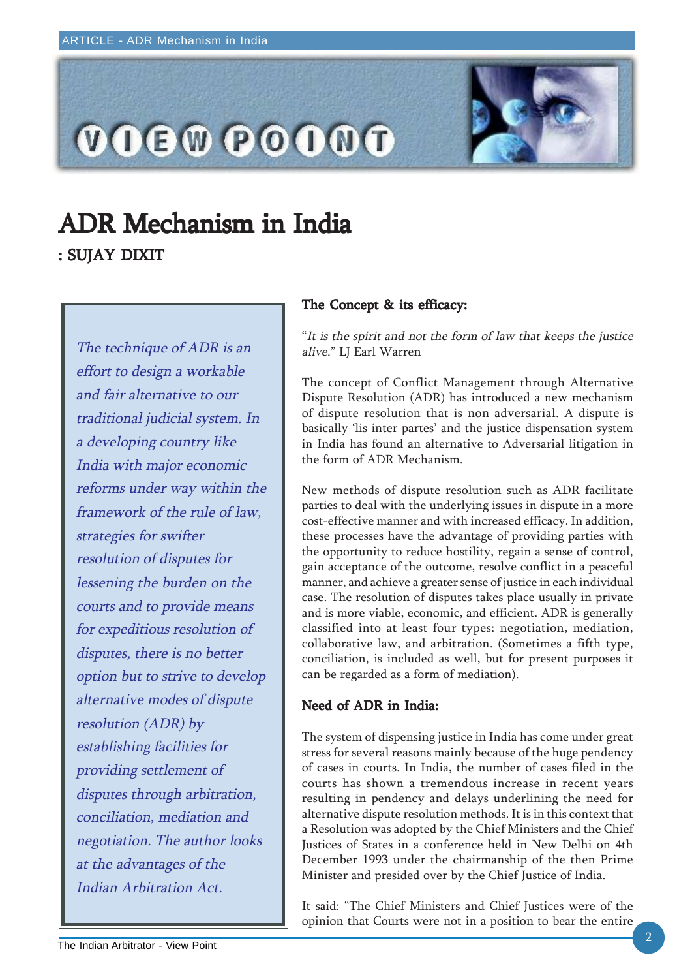

# ADR Mechanism in India : SUJAY DIXIT

The technique of ADR is an effort to design a workable and fair alternative to our traditional judicial system. In a developing country like India with major economic reforms under way within the framework of the rule of law, strategies for swifter resolution of disputes for lessening the burden on the courts and to provide means for expeditious resolution of disputes, there is no better option but to strive to develop alternative modes of dispute resolution (ADR) by establishing facilities for providing settlement of disputes through arbitration, conciliation, mediation and negotiation. The author looks at the advantages of the Indian Arbitration Act.

## The Concept & its efficacy:

"It is the spirit and not the form of law that keeps the justice alive." LJ Earl Warren

The concept of Conflict Management through Alternative Dispute Resolution (ADR) has introduced a new mechanism of dispute resolution that is non adversarial. A dispute is basically 'lis inter partes' and the justice dispensation system in India has found an alternative to Adversarial litigation in the form of ADR Mechanism.

New methods of dispute resolution such as ADR facilitate parties to deal with the underlying issues in dispute in a more cost-effective manner and with increased efficacy. In addition, these processes have the advantage of providing parties with the opportunity to reduce hostility, regain a sense of control, gain acceptance of the outcome, resolve conflict in a peaceful manner, and achieve a greater sense of justice in each individual case. The resolution of disputes takes place usually in private and is more viable, economic, and efficient. ADR is generally classified into at least four types: negotiation, mediation, collaborative law, and arbitration. (Sometimes a fifth type, conciliation, is included as well, but for present purposes it can be regarded as a form of mediation).

## Need of ADR in India:

The system of dispensing justice in India has come under great stress for several reasons mainly because of the huge pendency of cases in courts. In India, the number of cases filed in the courts has shown a tremendous increase in recent years resulting in pendency and delays underlining the need for alternative dispute resolution methods. It is in this context that a Resolution was adopted by the Chief Ministers and the Chief Justices of States in a conference held in New Delhi on 4th December 1993 under the chairmanship of the then Prime Minister and presided over by the Chief Justice of India.

It said: "The Chief Ministers and Chief Justices were of the opinion that Courts were not in a position to bear the entire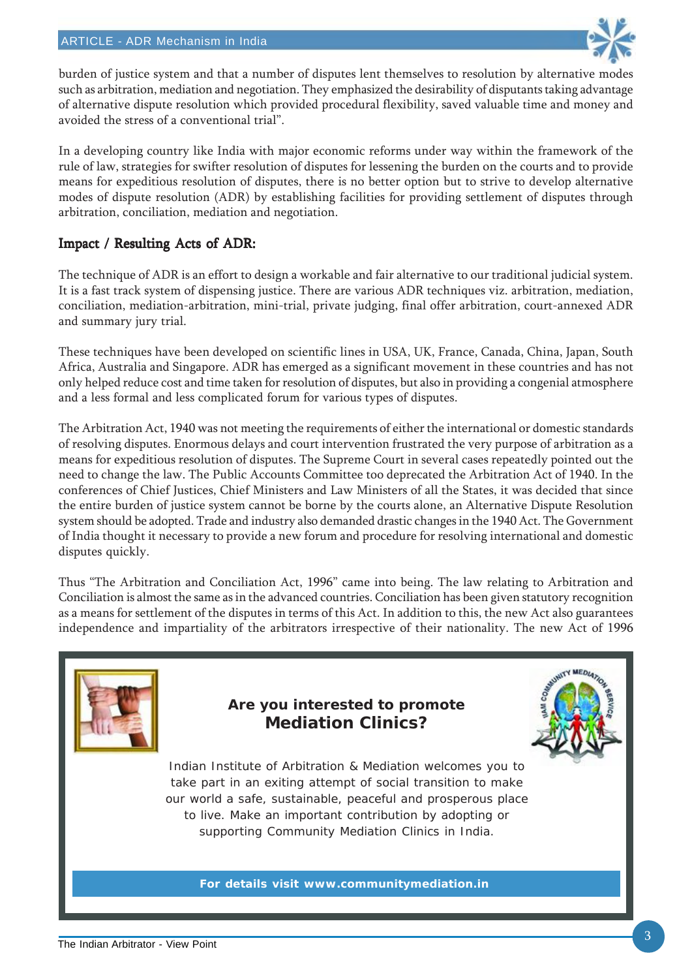

burden of justice system and that a number of disputes lent themselves to resolution by alternative modes such as arbitration, mediation and negotiation. They emphasized the desirability of disputants taking advantage of alternative dispute resolution which provided procedural flexibility, saved valuable time and money and avoided the stress of a conventional trial".

In a developing country like India with major economic reforms under way within the framework of the rule of law, strategies for swifter resolution of disputes for lessening the burden on the courts and to provide means for expeditious resolution of disputes, there is no better option but to strive to develop alternative modes of dispute resolution (ADR) by establishing facilities for providing settlement of disputes through arbitration, conciliation, mediation and negotiation.

## Impact / Resulting Acts of ADR:

The technique of ADR is an effort to design a workable and fair alternative to our traditional judicial system. It is a fast track system of dispensing justice. There are various ADR techniques viz. arbitration, mediation, conciliation, mediation-arbitration, mini-trial, private judging, final offer arbitration, court-annexed ADR and summary jury trial.

These techniques have been developed on scientific lines in USA, UK, France, Canada, China, Japan, South Africa, Australia and Singapore. ADR has emerged as a significant movement in these countries and has not only helped reduce cost and time taken for resolution of disputes, but also in providing a congenial atmosphere and a less formal and less complicated forum for various types of disputes.

The Arbitration Act, 1940 was not meeting the requirements of either the international or domestic standards of resolving disputes. Enormous delays and court intervention frustrated the very purpose of arbitration as a means for expeditious resolution of disputes. The Supreme Court in several cases repeatedly pointed out the need to change the law. The Public Accounts Committee too deprecated the Arbitration Act of 1940. In the conferences of Chief Justices, Chief Ministers and Law Ministers of all the States, it was decided that since the entire burden of justice system cannot be borne by the courts alone, an Alternative Dispute Resolution system should be adopted. Trade and industry also demanded drastic changes in the 1940 Act. The Government of India thought it necessary to provide a new forum and procedure for resolving international and domestic disputes quickly.

Thus "The Arbitration and Conciliation Act, 1996" came into being. The law relating to Arbitration and Conciliation is almost the same as in the advanced countries. Conciliation has been given statutory recognition as a means for settlement of the disputes in terms of this Act. In addition to this, the new Act also guarantees independence and impartiality of the arbitrators irrespective of their nationality. The new Act of 1996

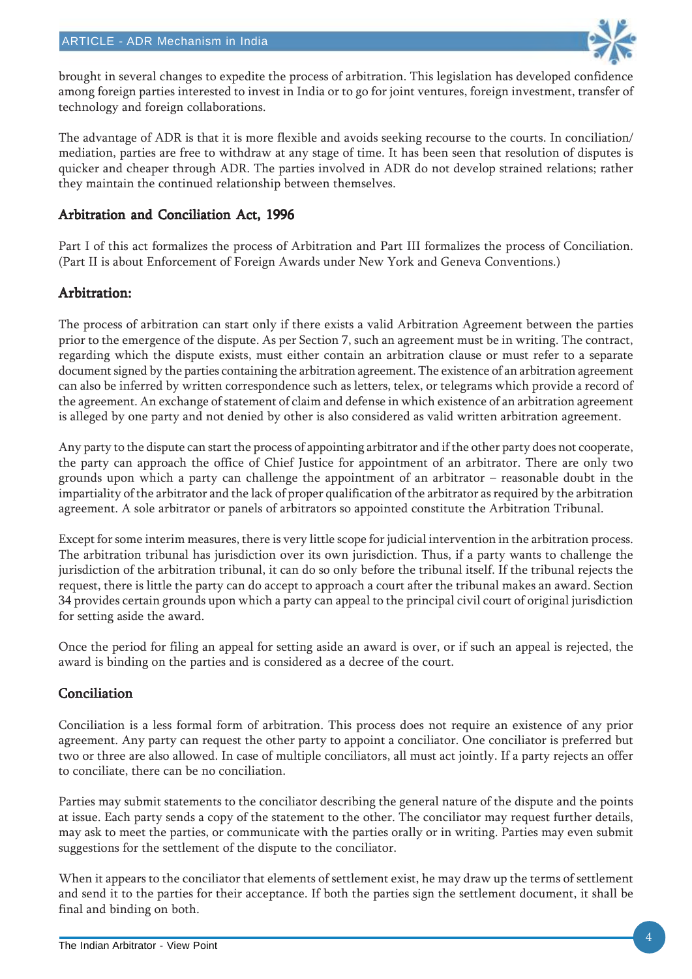

brought in several changes to expedite the process of arbitration. This legislation has developed confidence among foreign parties interested to invest in India or to go for joint ventures, foreign investment, transfer of technology and foreign collaborations.

The advantage of ADR is that it is more flexible and avoids seeking recourse to the courts. In conciliation/ mediation, parties are free to withdraw at any stage of time. It has been seen that resolution of disputes is quicker and cheaper through ADR. The parties involved in ADR do not develop strained relations; rather they maintain the continued relationship between themselves.

## Arbitration and Conciliation Act, 1996

Part I of this act formalizes the process of Arbitration and Part III formalizes the process of Conciliation. (Part II is about Enforcement of Foreign Awards under New York and Geneva Conventions.)

### Arbitration: Arbitration:

The process of arbitration can start only if there exists a valid Arbitration Agreement between the parties prior to the emergence of the dispute. As per Section 7, such an agreement must be in writing. The contract, regarding which the dispute exists, must either contain an arbitration clause or must refer to a separate document signed by the parties containing the arbitration agreement. The existence of an arbitration agreement can also be inferred by written correspondence such as letters, telex, or telegrams which provide a record of the agreement. An exchange of statement of claim and defense in which existence of an arbitration agreement is alleged by one party and not denied by other is also considered as valid written arbitration agreement.

Any party to the dispute can start the process of appointing arbitrator and if the other party does not cooperate, the party can approach the office of Chief Justice for appointment of an arbitrator. There are only two grounds upon which a party can challenge the appointment of an arbitrator – reasonable doubt in the impartiality of the arbitrator and the lack of proper qualification of the arbitrator as required by the arbitration agreement. A sole arbitrator or panels of arbitrators so appointed constitute the Arbitration Tribunal.

Except for some interim measures, there is very little scope for judicial intervention in the arbitration process. The arbitration tribunal has jurisdiction over its own jurisdiction. Thus, if a party wants to challenge the jurisdiction of the arbitration tribunal, it can do so only before the tribunal itself. If the tribunal rejects the request, there is little the party can do accept to approach a court after the tribunal makes an award. Section 34 provides certain grounds upon which a party can appeal to the principal civil court of original jurisdiction for setting aside the award.

Once the period for filing an appeal for setting aside an award is over, or if such an appeal is rejected, the award is binding on the parties and is considered as a decree of the court.

## Conciliation

Conciliation is a less formal form of arbitration. This process does not require an existence of any prior agreement. Any party can request the other party to appoint a conciliator. One conciliator is preferred but two or three are also allowed. In case of multiple conciliators, all must act jointly. If a party rejects an offer to conciliate, there can be no conciliation.

Parties may submit statements to the conciliator describing the general nature of the dispute and the points at issue. Each party sends a copy of the statement to the other. The conciliator may request further details, may ask to meet the parties, or communicate with the parties orally or in writing. Parties may even submit suggestions for the settlement of the dispute to the conciliator.

When it appears to the conciliator that elements of settlement exist, he may draw up the terms of settlement and send it to the parties for their acceptance. If both the parties sign the settlement document, it shall be final and binding on both.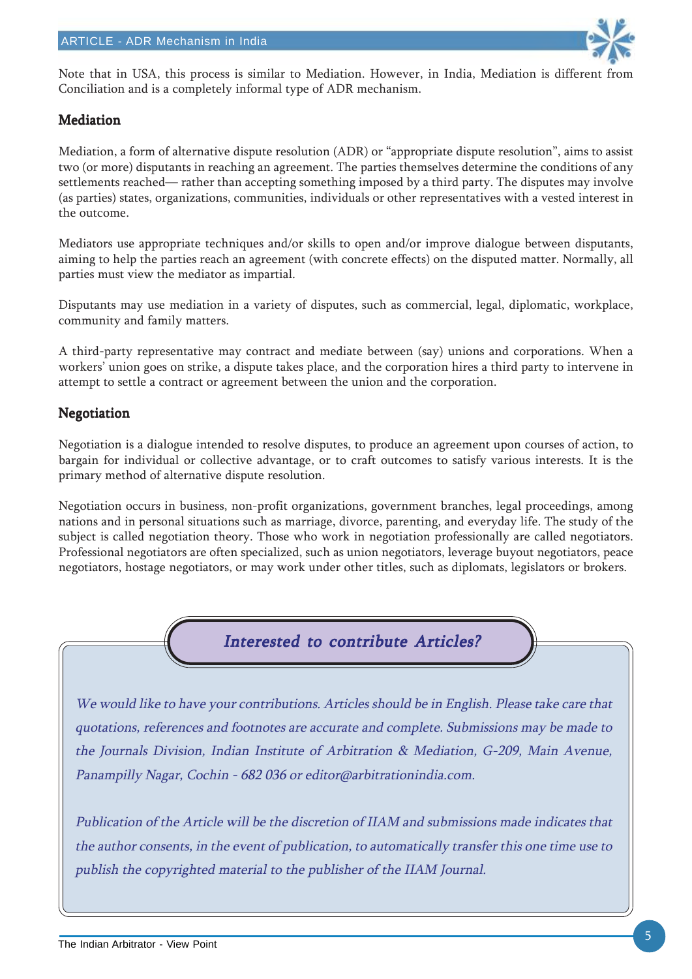

Note that in USA, this process is similar to Mediation. However, in India, Mediation is different from Conciliation and is a completely informal type of ADR mechanism.

### Mediation

Mediation, a form of alternative dispute resolution (ADR) or "appropriate dispute resolution", aims to assist two (or more) disputants in reaching an agreement. The parties themselves determine the conditions of any settlements reached— rather than accepting something imposed by a third party. The disputes may involve (as parties) states, organizations, communities, individuals or other representatives with a vested interest in the outcome.

Mediators use appropriate techniques and/or skills to open and/or improve dialogue between disputants, aiming to help the parties reach an agreement (with concrete effects) on the disputed matter. Normally, all parties must view the mediator as impartial.

Disputants may use mediation in a variety of disputes, such as commercial, legal, diplomatic, workplace, community and family matters.

A third-party representative may contract and mediate between (say) unions and corporations. When a workers' union goes on strike, a dispute takes place, and the corporation hires a third party to intervene in attempt to settle a contract or agreement between the union and the corporation.

### Negotiation

Negotiation is a dialogue intended to resolve disputes, to produce an agreement upon courses of action, to bargain for individual or collective advantage, or to craft outcomes to satisfy various interests. It is the primary method of alternative dispute resolution.

Negotiation occurs in business, non-profit organizations, government branches, legal proceedings, among nations and in personal situations such as marriage, divorce, parenting, and everyday life. The study of the subject is called negotiation theory. Those who work in negotiation professionally are called negotiators. Professional negotiators are often specialized, such as union negotiators, leverage buyout negotiators, peace negotiators, hostage negotiators, or may work under other titles, such as diplomats, legislators or brokers.



We would like to have your contributions. Articles should be in English. Please take care that quotations, references and footnotes are accurate and complete. Submissions may be made to the Journals Division, Indian Institute of Arbitration & Mediation, G-209, Main Avenue, Panampilly Nagar, Cochin - 682 036 or editor@arbitrationindia.com.

Publication of the Article will be the discretion of IIAM and submissions made indicates that the author consents, in the event of publication, to automatically transfer this one time use to publish the copyrighted material to the publisher of the IIAM Journal.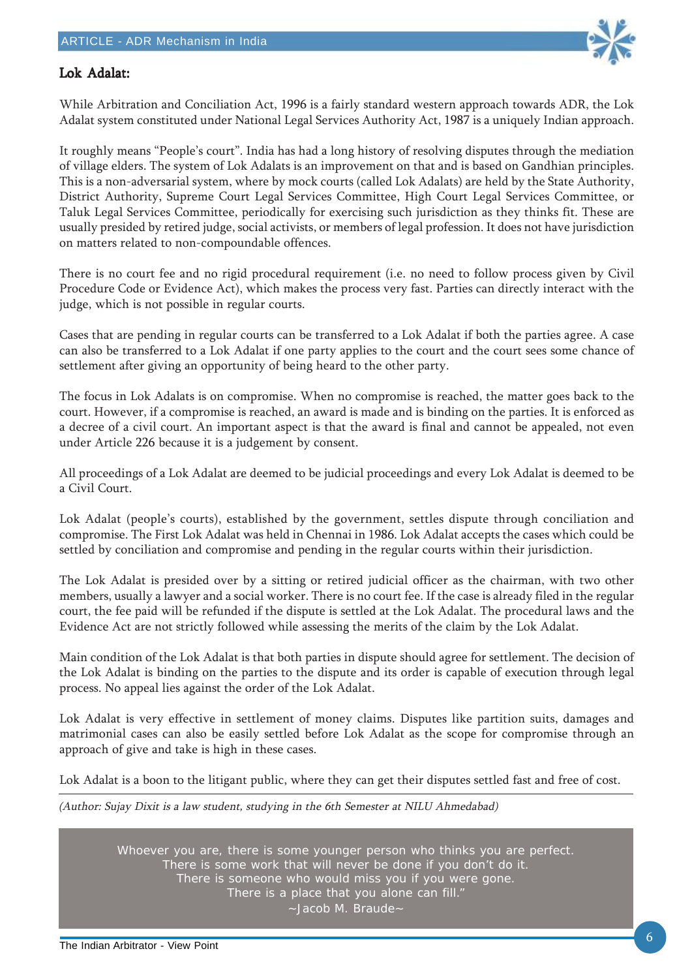

### Lok Adalat: Lok

While Arbitration and Conciliation Act, 1996 is a fairly standard western approach towards ADR, the Lok Adalat system constituted under National Legal Services Authority Act, 1987 is a uniquely Indian approach.

It roughly means "People's court". India has had a long history of resolving disputes through the mediation of village elders. The system of Lok Adalats is an improvement on that and is based on Gandhian principles. This is a non-adversarial system, where by mock courts (called Lok Adalats) are held by the State Authority, District Authority, Supreme Court Legal Services Committee, High Court Legal Services Committee, or Taluk Legal Services Committee, periodically for exercising such jurisdiction as they thinks fit. These are usually presided by retired judge, social activists, or members of legal profession. It does not have jurisdiction on matters related to non-compoundable offences.

There is no court fee and no rigid procedural requirement (i.e. no need to follow process given by Civil Procedure Code or Evidence Act), which makes the process very fast. Parties can directly interact with the judge, which is not possible in regular courts.

Cases that are pending in regular courts can be transferred to a Lok Adalat if both the parties agree. A case can also be transferred to a Lok Adalat if one party applies to the court and the court sees some chance of settlement after giving an opportunity of being heard to the other party.

The focus in Lok Adalats is on compromise. When no compromise is reached, the matter goes back to the court. However, if a compromise is reached, an award is made and is binding on the parties. It is enforced as a decree of a civil court. An important aspect is that the award is final and cannot be appealed, not even under Article 226 because it is a judgement by consent.

All proceedings of a Lok Adalat are deemed to be judicial proceedings and every Lok Adalat is deemed to be a Civil Court.

Lok Adalat (people's courts), established by the government, settles dispute through conciliation and compromise. The First Lok Adalat was held in Chennai in 1986. Lok Adalat accepts the cases which could be settled by conciliation and compromise and pending in the regular courts within their jurisdiction.

The Lok Adalat is presided over by a sitting or retired judicial officer as the chairman, with two other members, usually a lawyer and a social worker. There is no court fee. If the case is already filed in the regular court, the fee paid will be refunded if the dispute is settled at the Lok Adalat. The procedural laws and the Evidence Act are not strictly followed while assessing the merits of the claim by the Lok Adalat.

Main condition of the Lok Adalat is that both parties in dispute should agree for settlement. The decision of the Lok Adalat is binding on the parties to the dispute and its order is capable of execution through legal process. No appeal lies against the order of the Lok Adalat.

Lok Adalat is very effective in settlement of money claims. Disputes like partition suits, damages and matrimonial cases can also be easily settled before Lok Adalat as the scope for compromise through an approach of give and take is high in these cases.

Lok Adalat is a boon to the litigant public, where they can get their disputes settled fast and free of cost.

(Author: Sujay Dixit is a law student, studying in the 6th Semester at NILU Ahmedabad)

Whoever you are, there is some younger person who thinks you are perfect. There is some work that will never be done if you don't do it. There is someone who would miss you if you were gone. There is a place that you alone can fill." ~Jacob M. Braude~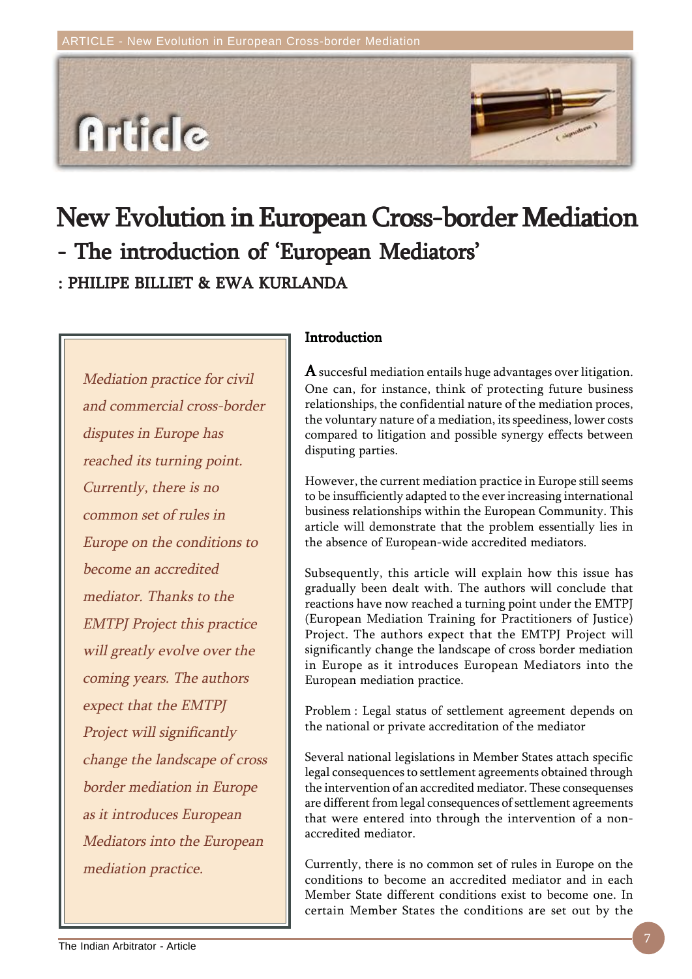

# New Evolution in European Cross-border Mediation : PHILIPE BILLIET & EWA KURLANDA - The introduction of 'European Mediators'

Mediation practice for civil and commercial cross-border disputes in Europe has reached its turning point. Currently, there is no common set of rules in Europe on the conditions to become an accredited mediator. Thanks to the EMTPJ Project this practice will greatly evolve over the coming years. The authors expect that the EMTPJ Project will significantly change the landscape of cross border mediation in Europe as it introduces European Mediators into the European mediation practice.

## Introduction

A succesful mediation entails huge advantages over litigation. One can, for instance, think of protecting future business relationships, the confidential nature of the mediation proces, the voluntary nature of a mediation, its speediness, lower costs compared to litigation and possible synergy effects between disputing parties.

However, the current mediation practice in Europe still seems to be insufficiently adapted to the ever increasing international business relationships within the European Community. This article will demonstrate that the problem essentially lies in the absence of European-wide accredited mediators.

Subsequently, this article will explain how this issue has gradually been dealt with. The authors will conclude that reactions have now reached a turning point under the EMTPJ (European Mediation Training for Practitioners of Justice) Project. The authors expect that the EMTPJ Project will significantly change the landscape of cross border mediation in Europe as it introduces European Mediators into the European mediation practice.

Problem : Legal status of settlement agreement depends on the national or private accreditation of the mediator

Several national legislations in Member States attach specific legal consequences to settlement agreements obtained through the intervention of an accredited mediator. These consequenses are different from legal consequences of settlement agreements that were entered into through the intervention of a nonaccredited mediator.

Currently, there is no common set of rules in Europe on the conditions to become an accredited mediator and in each Member State different conditions exist to become one. In certain Member States the conditions are set out by the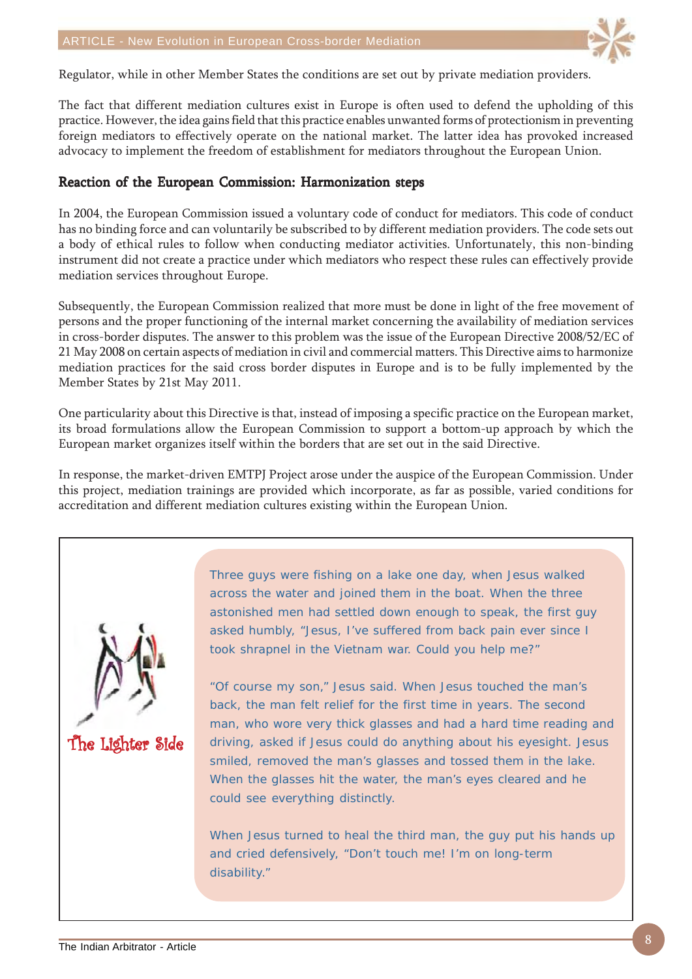

Regulator, while in other Member States the conditions are set out by private mediation providers.

The fact that different mediation cultures exist in Europe is often used to defend the upholding of this practice. However, the idea gains field that this practice enables unwanted forms of protectionism in preventing foreign mediators to effectively operate on the national market. The latter idea has provoked increased advocacy to implement the freedom of establishment for mediators throughout the European Union.

### Reaction of the European Commission: Harmonization steps

In 2004, the European Commission issued a voluntary code of conduct for mediators. This code of conduct has no binding force and can voluntarily be subscribed to by different mediation providers. The code sets out a body of ethical rules to follow when conducting mediator activities. Unfortunately, this non-binding instrument did not create a practice under which mediators who respect these rules can effectively provide mediation services throughout Europe.

Subsequently, the European Commission realized that more must be done in light of the free movement of persons and the proper functioning of the internal market concerning the availability of mediation services in cross-border disputes. The answer to this problem was the issue of the European Directive 2008/52/EC of 21 May 2008 on certain aspects of mediation in civil and commercial matters. This Directive aims to harmonize mediation practices for the said cross border disputes in Europe and is to be fully implemented by the Member States by 21st May 2011.

One particularity about this Directive is that, instead of imposing a specific practice on the European market, its broad formulations allow the European Commission to support a bottom-up approach by which the European market organizes itself within the borders that are set out in the said Directive.

In response, the market-driven EMTPJ Project arose under the auspice of the European Commission. Under this project, mediation trainings are provided which incorporate, as far as possible, varied conditions for accreditation and different mediation cultures existing within the European Union.



Three guys were fishing on a lake one day, when Jesus walked across the water and joined them in the boat. When the three astonished men had settled down enough to speak, the first guy asked humbly, "Jesus, I've suffered from back pain ever since I took shrapnel in the Vietnam war. Could you help me?"

"Of course my son," Jesus said. When Jesus touched the man's back, the man felt relief for the first time in years. The second man, who wore very thick glasses and had a hard time reading and driving, asked if Jesus could do anything about his eyesight. Jesus smiled, removed the man's glasses and tossed them in the lake. When the glasses hit the water, the man's eyes cleared and he could see everything distinctly.

When Jesus turned to heal the third man, the guy put his hands up and cried defensively, "Don't touch me! I'm on long-term disability."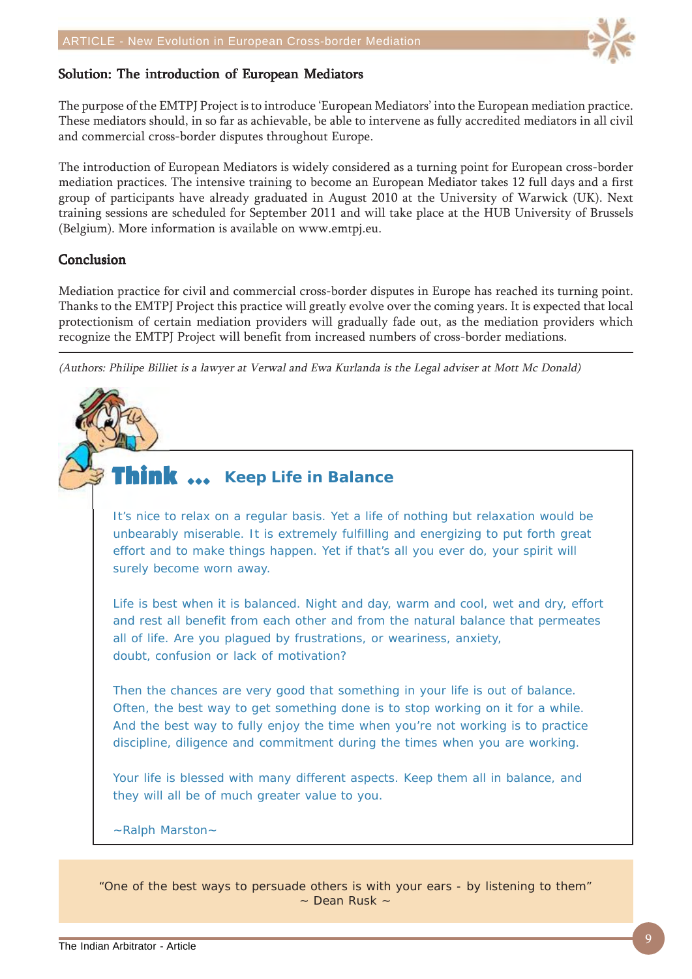

## Solution: The introduction of European Mediators

The purpose of the EMTPJ Project is to introduce 'European Mediators' into the European mediation practice. These mediators should, in so far as achievable, be able to intervene as fully accredited mediators in all civil and commercial cross-border disputes throughout Europe.

The introduction of European Mediators is widely considered as a turning point for European cross-border mediation practices. The intensive training to become an European Mediator takes 12 full days and a first group of participants have already graduated in August 2010 at the University of Warwick (UK). Next training sessions are scheduled for September 2011 and will take place at the HUB University of Brussels (Belgium). More information is available on www.emtpj.eu.

#### **Conclusion**

Mediation practice for civil and commercial cross-border disputes in Europe has reached its turning point. Thanks to the EMTPJ Project this practice will greatly evolve over the coming years. It is expected that local protectionism of certain mediation providers will gradually fade out, as the mediation providers which recognize the EMTPJ Project will benefit from increased numbers of cross-border mediations.

(Authors: Philipe Billiet is a lawyer at Verwal and Ewa Kurlanda is the Legal adviser at Mott Mc Donald)

## **Think ...** Keep Life in Balance

It's nice to relax on a regular basis. Yet a life of nothing but relaxation would be unbearably miserable. It is extremely fulfilling and energizing to put forth great effort and to make things happen. Yet if that's all you ever do, your spirit will surely become worn away.

Life is best when it is balanced. Night and day, warm and cool, wet and dry, effort and rest all benefit from each other and from the natural balance that permeates all of life. Are you plagued by frustrations, or weariness, anxiety, doubt, confusion or lack of motivation?

Then the chances are very good that something in your life is out of balance. Often, the best way to get something done is to stop working on it for a while. And the best way to fully enjoy the time when you're not working is to practice discipline, diligence and commitment during the times when you are working.

Your life is blessed with many different aspects. Keep them all in balance, and they will all be of much greater value to you.

~Ralph Marston~

"One of the best ways to persuade others is with your ears - by listening to them"  $\sim$  Dean Rusk  $\sim$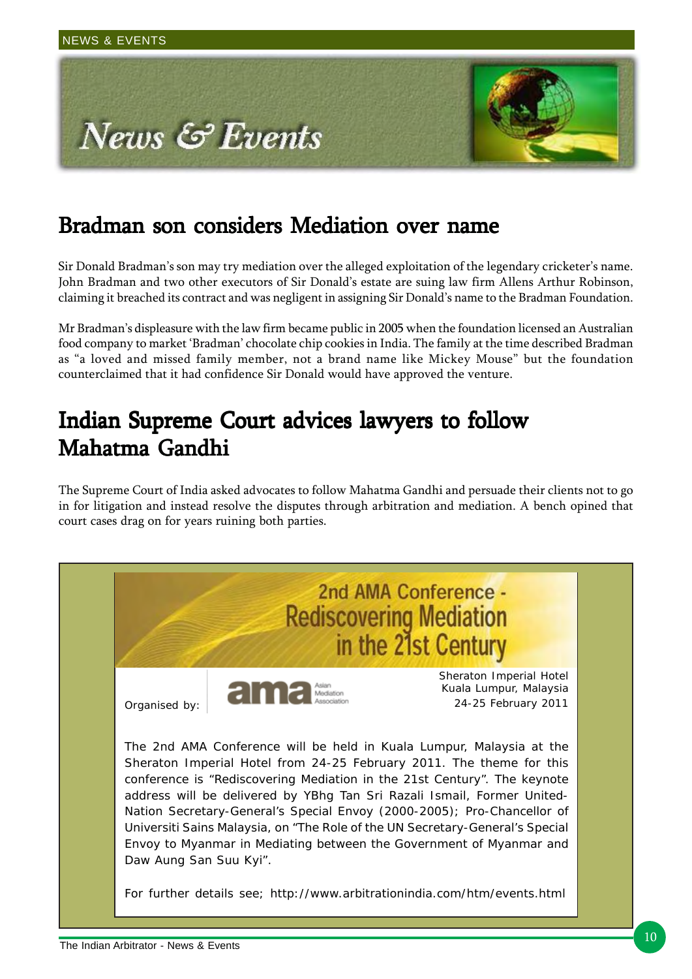

# Bradman son considers Mediation over name

Sir Donald Bradman's son may try mediation over the alleged exploitation of the legendary cricketer's name. John Bradman and two other executors of Sir Donald's estate are suing law firm Allens Arthur Robinson, claiming it breached its contract and was negligent in assigning Sir Donald's name to the Bradman Foundation.

Mr Bradman's displeasure with the law firm became public in 2005 when the foundation licensed an Australian food company to market 'Bradman' chocolate chip cookies in India. The family at the time described Bradman as "a loved and missed family member, not a brand name like Mickey Mouse" but the foundation counterclaimed that it had confidence Sir Donald would have approved the venture.

# Indian Supreme Court advices lawyers to follow Mahatma Gandhi

The Supreme Court of India asked advocates to follow Mahatma Gandhi and persuade their clients not to go in for litigation and instead resolve the disputes through arbitration and mediation. A bench opined that court cases drag on for years ruining both parties.